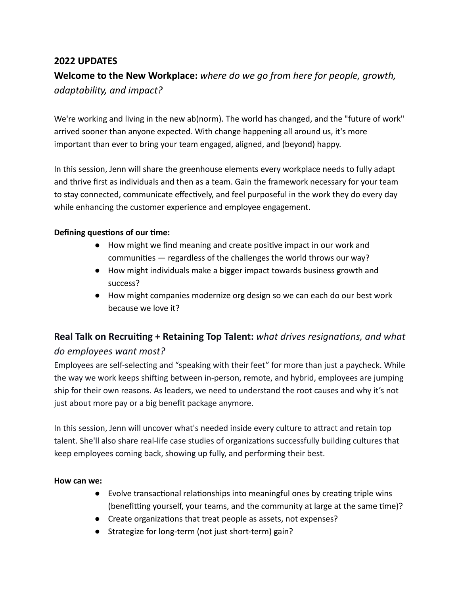#### **2022 UPDATES**

# **Welcome to the New Workplace:** *where do we go from here for people, growth, adaptability, and impact?*

We're working and living in the new ab(norm). The world has changed, and the "future of work" arrived sooner than anyone expected. With change happening all around us, it's more important than ever to bring your team engaged, aligned, and (beyond) happy.

In this session, Jenn will share the greenhouse elements every workplace needs to fully adapt and thrive first as individuals and then as a team. Gain the framework necessary for your team to stay connected, communicate effectively, and feel purposeful in the work they do every day while enhancing the customer experience and employee engagement.

#### **Defining questions of our time:**

- How might we find meaning and create positive impact in our work and communities  $-$  regardless of the challenges the world throws our way?
- How might individuals make a bigger impact towards business growth and success?
- How might companies modernize org design so we can each do our best work because we love it?

# **Real Talk on Recruiting + Retaining Top Talent:** what drives resignations, and what *do employees want most?*

Employees are self-selecting and "speaking with their feet" for more than just a paycheck. While the way we work keeps shifting between in-person, remote, and hybrid, employees are jumping ship for their own reasons. As leaders, we need to understand the root causes and why it's not just about more pay or a big benefit package anymore.

In this session, Jenn will uncover what's needed inside every culture to attract and retain top talent. She'll also share real-life case studies of organizations successfully building cultures that keep employees coming back, showing up fully, and performing their best.

#### **How can we:**

- $\bullet$  Evolve transactional relationships into meaningful ones by creating triple wins (benefitting yourself, your teams, and the community at large at the same time)?
- Create organizations that treat people as assets, not expenses?
- Strategize for long-term (not just short-term) gain?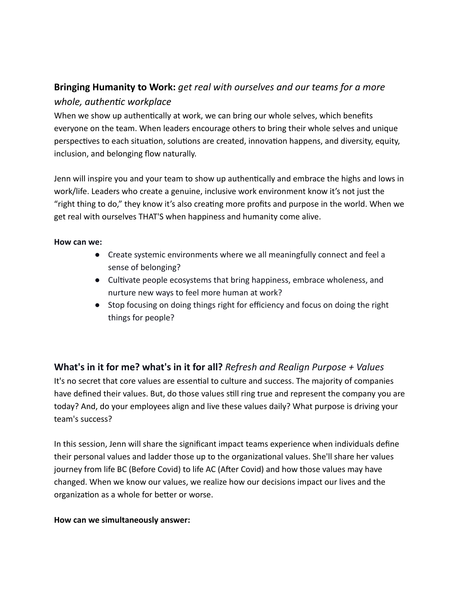## **Bringing Humanity to Work:** *get real with ourselves and our teams for a more whole, authentic workplace*

When we show up authentically at work, we can bring our whole selves, which benefits everyone on the team. When leaders encourage others to bring their whole selves and unique perspectives to each situation, solutions are created, innovation happens, and diversity, equity, inclusion, and belonging flow naturally.

Jenn will inspire you and your team to show up authentically and embrace the highs and lows in work/life. Leaders who create a genuine, inclusive work environment know it's not just the "right thing to do," they know it's also creating more profits and purpose in the world. When we get real with ourselves THAT'S when happiness and humanity come alive.

#### **How can we:**

- Create systemic environments where we all meaningfully connect and feel a sense of belonging?
- Cultivate people ecosystems that bring happiness, embrace wholeness, and nurture new ways to feel more human at work?
- Stop focusing on doing things right for efficiency and focus on doing the right things for people?

**What's in it for me? what's in it for all?** *Refresh and Realign Purpose + Values* It's no secret that core values are essential to culture and success. The majority of companies have defined their values. But, do those values still ring true and represent the company you are today? And, do your employees align and live these values daily? What purpose is driving your team's success?

In this session, Jenn will share the significant impact teams experience when individuals define their personal values and ladder those up to the organizational values. She'll share her values journey from life BC (Before Covid) to life AC (After Covid) and how those values may have changed. When we know our values, we realize how our decisions impact our lives and the organization as a whole for better or worse.

#### **How can we simultaneously answer:**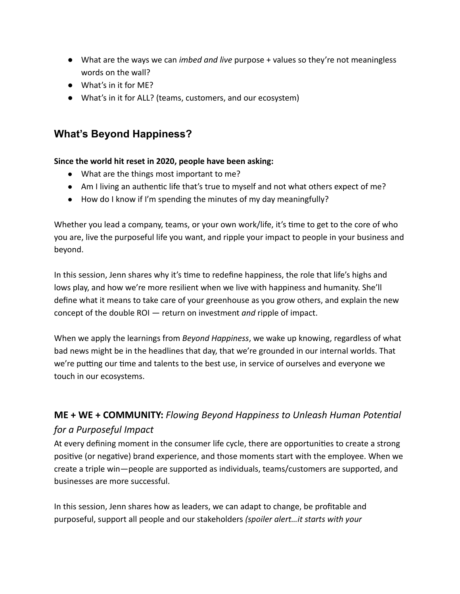- What are the ways we can *imbed and live* purpose + values so they're not meaningless words on the wall?
- What's in it for MF?
- What's in it for ALL? (teams, customers, and our ecosystem)

# **What's Beyond Happiness?**

#### **Since the world hit reset in 2020, people have been asking:**

- What are the things most important to me?
- Am I living an authentic life that's true to myself and not what others expect of me?
- How do I know if I'm spending the minutes of my day meaningfully?

Whether you lead a company, teams, or your own work/life, it's time to get to the core of who you are, live the purposeful life you want, and ripple your impact to people in your business and beyond.

In this session, Jenn shares why it's time to redefine happiness, the role that life's highs and lows play, and how we're more resilient when we live with happiness and humanity. She'll define what it means to take care of your greenhouse as you grow others, and explain the new concept of the double ROI — return on investment *and* ripple of impact.

When we apply the learnings from *Beyond Happiness*, we wake up knowing, regardless of what bad news might be in the headlines that day, that we're grounded in our internal worlds. That we're putting our time and talents to the best use, in service of ourselves and everyone we touch in our ecosystems.

## **ME + WE + COMMUNITY:** Flowing Beyond Happiness to Unleash Human Potential *for a Purposeful Impact*

At every defining moment in the consumer life cycle, there are opportunities to create a strong positive (or negative) brand experience, and those moments start with the employee. When we create a triple win—people are supported as individuals, teams/customers are supported, and businesses are more successful.

In this session, Jenn shares how as leaders, we can adapt to change, be profitable and purposeful, support all people and our stakeholders *(spoiler alert…it starts with your*